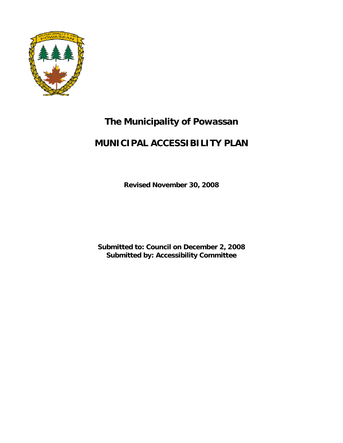

# **The Municipality of Powassan**

# **MUNICIPAL ACCESSIBILITY PLAN**

**Revised November 30, 2008**

**Submitted to: Council on December 2, 2008 Submitted by: Accessibility Committee**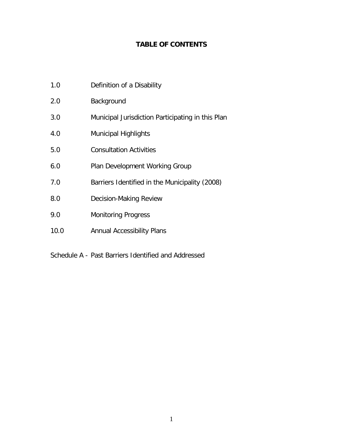# **TABLE OF CONTENTS**

- 1.0 Definition of a Disability
- 2.0 Background
- 3.0 Municipal Jurisdiction Participating in this Plan
- 4.0 Municipal Highlights
- 5.0 Consultation Activities
- 6.0 Plan Development Working Group
- 7.0 Barriers Identified in the Municipality (2008)
- 8.0 Decision-Making Review
- 9.0 Monitoring Progress
- 10.0 Annual Accessibility Plans

Schedule A - Past Barriers Identified and Addressed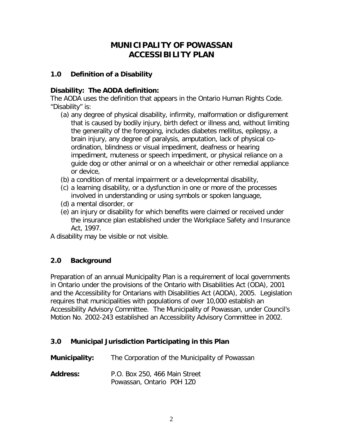# **MUNICIPALITY OF POWASSAN ACCESSIBILITY PLAN**

#### **1.0 Definition of a Disability**

## **Disability: The AODA definition:**

The AODA uses the definition that appears in the Ontario Human Rights Code. "Disability" is:

- (a) any degree of physical disability, infirmity, malformation or disfigurement that is caused by bodily injury, birth defect or illness and, without limiting the generality of the foregoing, includes diabetes mellitus, epilepsy, a brain injury, any degree of paralysis, amputation, lack of physical coordination, blindness or visual impediment, deafness or hearing impediment, muteness or speech impediment, or physical reliance on a guide dog or other animal or on a wheelchair or other remedial appliance or device,
- (b) a condition of mental impairment or a developmental disability,
- (c) a learning disability, or a dysfunction in one or more of the processes involved in understanding or using symbols or spoken language,
- (d) a mental disorder, or
- (e) an injury or disability for which benefits were claimed or received under the insurance plan established under the Workplace Safety and Insurance Act, 1997.

A disability may be visible or not visible.

# **2.0 Background**

Preparation of an annual Municipality Plan is a requirement of local governments in Ontario under the provisions of the Ontario with Disabilities Act (ODA), 2001 and the Accessibility for Ontarians with Disabilities Act (AODA), 2005. Legislation requires that municipalities with populations of over 10,000 establish an Accessibility Advisory Committee. The Municipality of Powassan, under Council's Motion No. 2002-243 established an Accessibility Advisory Committee in 2002.

# **3.0 Municipal Jurisdiction Participating in this Plan**

| <b>Municipality:</b> | The Corporation of the Municipality of Powassan            |  |
|----------------------|------------------------------------------------------------|--|
| <b>Address:</b>      | P.O. Box 250, 466 Main Street<br>Powassan, Ontario P0H 1Z0 |  |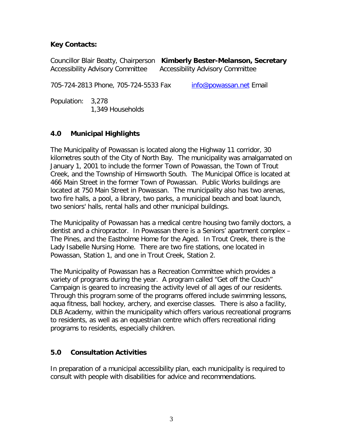#### **Key Contacts:**

Councillor Blair Beatty, Chairperson **Kimberly Bester-Melanson, Secretary** Accessibility Advisory Committee Accessibility Advisory Committee

705-724-2813 Phone, 705-724-5533 Fax [info@powassan.net](mailto:info@powassan.net) Email

Population: 3,278 1,349 Households

## **4.0 Municipal Highlights**

The Municipality of Powassan is located along the Highway 11 corridor, 30 kilometres south of the City of North Bay. The municipality was amalgamated on January 1, 2001 to include the former Town of Powassan, the Town of Trout Creek, and the Township of Himsworth South. The Municipal Office is located at 466 Main Street in the former Town of Powassan. Public Works buildings are located at 750 Main Street in Powassan. The municipality also has two arenas, two fire halls, a pool, a library, two parks, a municipal beach and boat launch, two seniors' halls, rental halls and other municipal buildings.

The Municipality of Powassan has a medical centre housing two family doctors, a dentist and a chiropractor. In Powassan there is a Seniors' apartment complex – The Pines, and the Eastholme Home for the Aged. In Trout Creek, there is the Lady Isabelle Nursing Home. There are two fire stations, one located in Powassan, Station 1, and one in Trout Creek, Station 2.

The Municipality of Powassan has a Recreation Committee which provides a variety of programs during the year. A program called "Get off the Couch" Campaign is geared to increasing the activity level of all ages of our residents. Through this program some of the programs offered include swimming lessons, aqua fitness, ball hockey, archery, and exercise classes. There is also a facility, DLB Academy, within the municipality which offers various recreational programs to residents, as well as an equestrian centre which offers recreational riding programs to residents, especially children.

#### **5.0 Consultation Activities**

In preparation of a municipal accessibility plan, each municipality is required to consult with people with disabilities for advice and recommendations.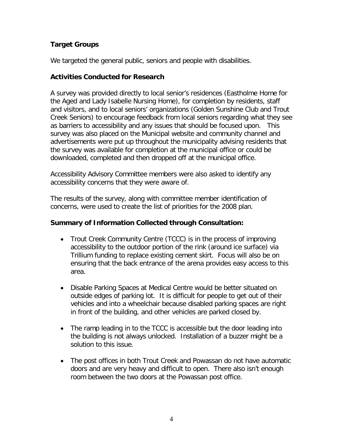## **Target Groups**

We targeted the general public, seniors and people with disabilities.

#### **Activities Conducted for Research**

A survey was provided directly to local senior's residences (Eastholme Home for the Aged and Lady Isabelle Nursing Home), for completion by residents, staff and visitors, and to local seniors' organizations (Golden Sunshine Club and Trout Creek Seniors) to encourage feedback from local seniors regarding what they see as barriers to accessibility and any issues that should be focused upon. This survey was also placed on the Municipal website and community channel and advertisements were put up throughout the municipality advising residents that the survey was available for completion at the municipal office or could be downloaded, completed and then dropped off at the municipal office.

Accessibility Advisory Committee members were also asked to identify any accessibility concerns that they were aware of.

The results of the survey, along with committee member identification of concerns, were used to create the list of priorities for the 2008 plan.

#### **Summary of Information Collected through Consultation:**

- Trout Creek Community Centre (TCCC) is in the process of improving accessibility to the outdoor portion of the rink (around ice surface) via Trillium funding to replace existing cement skirt. Focus will also be on ensuring that the back entrance of the arena provides easy access to this area.
- Disable Parking Spaces at Medical Centre would be better situated on outside edges of parking lot. It is difficult for people to get out of their vehicles and into a wheelchair because disabled parking spaces are right in front of the building, and other vehicles are parked closed by.
- The ramp leading in to the TCCC is accessible but the door leading into the building is not always unlocked. Installation of a buzzer might be a solution to this issue.
- The post offices in both Trout Creek and Powassan do not have automatic doors and are very heavy and difficult to open. There also isn't enough room between the two doors at the Powassan post office.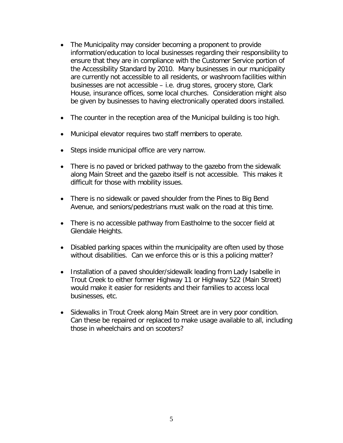- The Municipality may consider becoming a proponent to provide information/education to local businesses regarding their responsibility to ensure that they are in compliance with the Customer Service portion of the Accessibility Standard by 2010. Many businesses in our municipality are currently not accessible to all residents, or washroom facilities within businesses are not accessible – i.e. drug stores, grocery store, Clark House, insurance offices, some local churches. Consideration might also be given by businesses to having electronically operated doors installed.
- The counter in the reception area of the Municipal building is too high.
- Municipal elevator requires two staff members to operate.
- Steps inside municipal office are very narrow.
- There is no paved or bricked pathway to the gazebo from the sidewalk along Main Street and the gazebo itself is not accessible. This makes it difficult for those with mobility issues.
- There is no sidewalk or paved shoulder from the Pines to Big Bend Avenue, and seniors/pedestrians must walk on the road at this time.
- There is no accessible pathway from Eastholme to the soccer field at Glendale Heights.
- Disabled parking spaces within the municipality are often used by those without disabilities. Can we enforce this or is this a policing matter?
- Installation of a paved shoulder/sidewalk leading from Lady Isabelle in Trout Creek to either former Highway 11 or Highway 522 (Main Street) would make it easier for residents and their families to access local businesses, etc.
- Sidewalks in Trout Creek along Main Street are in very poor condition. Can these be repaired or replaced to make usage available to all, including those in wheelchairs and on scooters?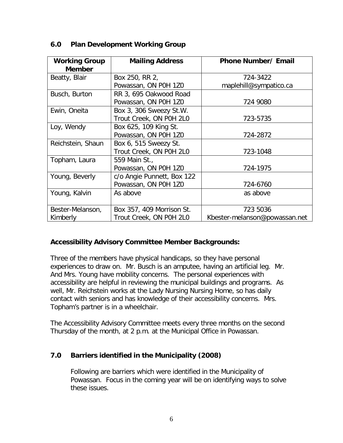| <b>Working Group</b> | <b>Mailing Address</b>     | <b>Phone Number/ Email</b>    |
|----------------------|----------------------------|-------------------------------|
| <b>Member</b>        |                            |                               |
| Beatty, Blair        | Box 250, RR 2,             | 724-3422                      |
|                      | Powassan, ON P0H 1Z0       | maplehill@sympatico.ca        |
| Busch, Burton        | RR 3, 695 Oakwood Road     |                               |
|                      | Powassan, ON P0H 1Z0       | 724 9080                      |
| Ewin, Oneita         | Box 3, 306 Sweezy St.W.    |                               |
|                      | Trout Creek, ON P0H 2L0    | 723-5735                      |
| Loy, Wendy           | Box 625, 109 King St.      |                               |
|                      | Powassan, ON P0H 1Z0       | 724-2872                      |
| Reichstein, Shaun    | Box 6, 515 Sweezy St.      |                               |
|                      | Trout Creek, ON P0H 2L0    | 723-1048                      |
| Topham, Laura        | 559 Main St.,              |                               |
|                      | Powassan, ON P0H 1Z0       | 724-1975                      |
| Young, Beverly       | c/o Angie Punnett, Box 122 |                               |
|                      | Powassan, ON P0H 1Z0       | 724-6760                      |
| Young, Kalvin        | As above                   | as above                      |
|                      |                            |                               |
| Bester-Melanson,     | Box 357, 409 Morrison St.  | 723 5036                      |
| Kimberly             | Trout Creek, ON P0H 2L0    | Kbester-melanson@powassan.net |

#### **6.0 Plan Development Working Group**

#### **Accessibility Advisory Committee Member Backgrounds:**

Three of the members have physical handicaps, so they have personal experiences to draw on. Mr. Busch is an amputee, having an artificial leg. Mr. And Mrs. Young have mobility concerns. The personal experiences with accessibility are helpful in reviewing the municipal buildings and programs. As well, Mr. Reichstein works at the Lady Nursing Nursing Home, so has daily contact with seniors and has knowledge of their accessibility concerns. Mrs. Topham's partner is in a wheelchair.

The Accessibility Advisory Committee meets every three months on the second Thursday of the month, at 2 p.m. at the Municipal Office in Powassan.

#### **7.0 Barriers identified in the Municipality (2008)**

Following are barriers which were identified in the Municipality of Powassan. Focus in the coming year will be on identifying ways to solve these issues.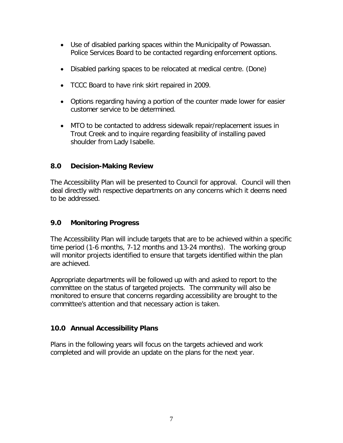- Use of disabled parking spaces within the Municipality of Powassan. Police Services Board to be contacted regarding enforcement options.
- Disabled parking spaces to be relocated at medical centre. (Done)
- TCCC Board to have rink skirt repaired in 2009.
- Options regarding having a portion of the counter made lower for easier customer service to be determined.
- MTO to be contacted to address sidewalk repair/replacement issues in Trout Creek and to inquire regarding feasibility of installing paved shoulder from Lady Isabelle.

## **8.0 Decision-Making Review**

The Accessibility Plan will be presented to Council for approval. Council will then deal directly with respective departments on any concerns which it deems need to be addressed.

# **9.0 Monitoring Progress**

The Accessibility Plan will include targets that are to be achieved within a specific time period (1-6 months, 7-12 months and 13-24 months). The working group will monitor projects identified to ensure that targets identified within the plan are achieved.

Appropriate departments will be followed up with and asked to report to the committee on the status of targeted projects. The community will also be monitored to ensure that concerns regarding accessibility are brought to the committee's attention and that necessary action is taken.

# **10.0 Annual Accessibility Plans**

Plans in the following years will focus on the targets achieved and work completed and will provide an update on the plans for the next year.